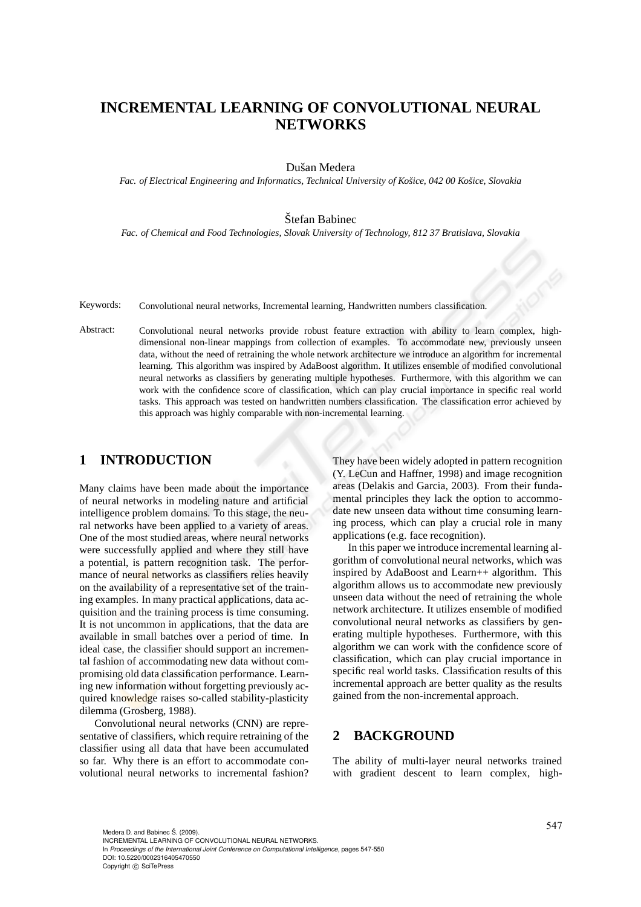# **INCREMENTAL LEARNING OF CONVOLUTIONAL NEURAL NETWORKS**

Dušan Medera

Fac. of Electrical Engineering and Informatics, Technical University of Košice, 042 00 Košice, Slovakia

Štefan Babinec

*Fac. of Chemical and Food Technologies, Slovak University of Technology, 812 37 Bratislava, Slovakia*

Keywords: Convolutional neural networks, Incremental learning, Handwritten numbers classification.

Abstract: Convolutional neural networks provide robust feature extraction with ability to learn complex, highdimensional non-linear mappings from collection of examples. To accommodate new, previously unseen data, without the need of retraining the whole network architecture we introduce an algorithm for incremental learning. This algorithm was inspired by AdaBoost algorithm. It utilizes ensemble of modified convolutional neural networks as classifiers by generating multiple hypotheses. Furthermore, with this algorithm we can work with the confidence score of classification, which can play crucial importance in specific real world tasks. This approach was tested on handwritten numbers classification. The classification error achieved by this approach was highly comparable with non-incremental learning.

# **1 INTRODUCTION**

Many claims have been made about the importance of neural networks in modeling nature and artificial intelligence problem domains. To this stage, the neural networks have been applied to a variety of areas. One of the most studied areas, where neural networks were successfully applied and where they still have a potential, is pattern recognition task. The performance of neural networks as classifiers relies heavily on the availability of a representative set of the training examples. In many practical applications, data acquisition and the training process is time consuming. It is not uncommon in applications, that the data are available in small batches over a period of time. In ideal case, the classifier should support an incremental fashion of accommodating new data without compromising old data classification performance. Learning new information without forgetting previously acquired knowledge raises so-called stability-plasticity dilemma (Grosberg, 1988).

Convolutional neural networks (CNN) are representative of classifiers, which require retraining of the classifier using all data that have been accumulated so far. Why there is an effort to accommodate convolutional neural networks to incremental fashion? They have been widely adopted in pattern recognition (Y. LeCun and Haffner, 1998) and image recognition areas (Delakis and Garcia, 2003). From their fundamental principles they lack the option to accommodate new unseen data without time consuming learning process, which can play a crucial role in many applications (e.g. face recognition).

In this paper we introduce incremental learning algorithm of convolutional neural networks, which was inspired by AdaBoost and Learn++ algorithm. This algorithm allows us to accommodate new previously unseen data without the need of retraining the whole network architecture. It utilizes ensemble of modified convolutional neural networks as classifiers by generating multiple hypotheses. Furthermore, with this algorithm we can work with the confidence score of classification, which can play crucial importance in specific real world tasks. Classification results of this incremental approach are better quality as the results gained from the non-incremental approach.

# **2 BACKGROUND**

The ability of multi-layer neural networks trained with gradient descent to learn complex, high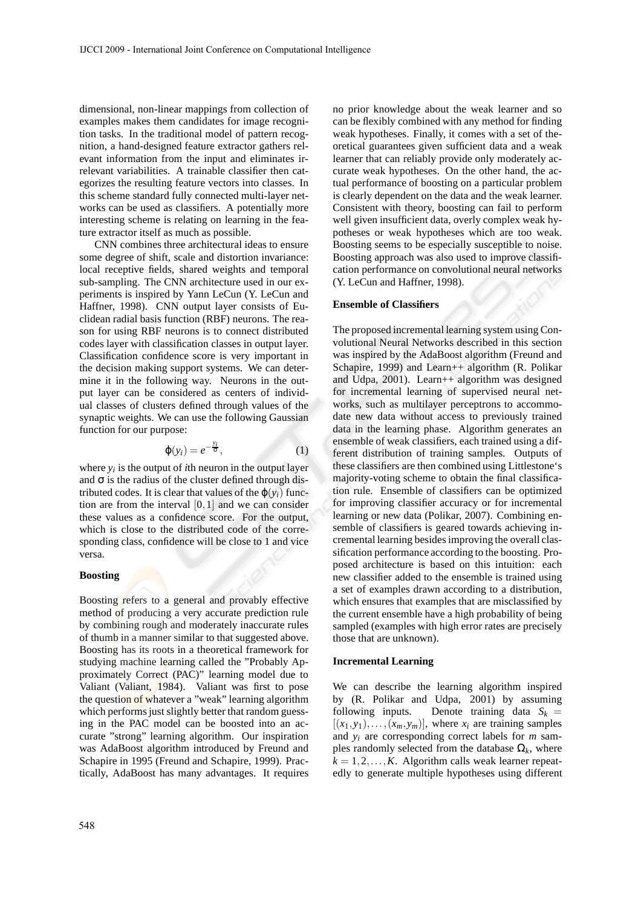dimensional, non-linear mappings from collection of examples makes them candidates for image recognition tasks. In the traditional model of pattern recognition, a hand-designed feature extractor gathers relevant information from the input and eliminates irrelevant variabilities. A trainable classifier then categorizes the resulting feature vectors into classes. In this scheme standard fully connected multi-layer networks can be used as classifiers. A potentially more interesting scheme is relating on learning in the feature extractor itself as much as possible.

CNN combines three architectural ideas to ensure some degree of shift, scale and distortion invariance: local receptive fields, shared weights and temporal sub-sampling. The CNN architecture used in our experiments is inspired by Yann LeCun (Y. LeCun and Haffner, 1998). CNN output layer consists of Euclidean radial basis function (RBF) neurons. The reason for using RBF neurons is to connect distributed codes layer with classification classes in output layer. Classification confidence score is very important in the decision making support systems. We can determine it in the following way. Neurons in the output layer can be considered as centers of individual classes of clusters defined through values of the synaptic weights. We can use the following Gaussian function for our purpose:

$$
\varphi(y_i) = e^{-\frac{y_i}{\sigma}},\tag{1}
$$

where  $y_i$  is the output of *i*th neuron in the output layer and  $\sigma$  is the radius of the cluster defined through distributed codes. It is clear that values of the  $\varphi(y_i)$  function are from the interval  $[0,1]$  and we can consider these values as a confidence score. For the output, which is close to the distributed code of the corresponding class, confidence will be close to 1 and vice versa.

#### **Boosting**

Boosting refers to a general and provably effective method of producing a very accurate prediction rule by combining rough and moderately inaccurate rules of thumb in a manner similar to that suggested above. Boosting has its roots in a theoretical framework for studying machine learning called the "Probably Approximately Correct (PAC)" learning model due to Valiant (Valiant, 1984). Valiant was first to pose the question of whatever a "weak" learning algorithm which performs just slightly better that random guessing in the PAC model can be boosted into an accurate "strong" learning algorithm. Our inspiration was AdaBoost algorithm introduced by Freund and Schapire in 1995 (Freund and Schapire, 1999). Practically, AdaBoost has many advantages. It requires no prior knowledge about the weak learner and so can be flexibly combined with any method for finding weak hypotheses. Finally, it comes with a set of theoretical guarantees given sufficient data and a weak learner that can reliably provide only moderately accurate weak hypotheses. On the other hand, the actual performance of boosting on a particular problem is clearly dependent on the data and the weak learner. Consistent with theory, boosting can fail to perform well given insufficient data, overly complex weak hypotheses or weak hypotheses which are too weak. Boosting seems to be especially susceptible to noise. Boosting approach was also used to improve classification performance on convolutional neural networks (Y. LeCun and Haffner, 1998).

#### **Ensemble of Classifiers**

The proposed incremental learning system using Convolutional Neural Networks described in this section was inspired by the AdaBoost algorithm (Freund and Schapire, 1999) and Learn++ algorithm (R. Polikar and Udpa, 2001). Learn++ algorithm was designed for incremental learning of supervised neural networks, such as multilayer perceptrons to accommodate new data without access to previously trained data in the learning phase. Algorithm generates an ensemble of weak classifiers, each trained using a different distribution of training samples. Outputs of these classifiers are then combined using Littlestone's majority-voting scheme to obtain the final classification rule. Ensemble of classifiers can be optimized for improving classifier accuracy or for incremental learning or new data (Polikar, 2007). Combining ensemble of classifiers is geared towards achieving incremental learning besides improving the overall classification performance according to the boosting. Proposed architecture is based on this intuition: each new classifier added to the ensemble is trained using a set of examples drawn according to a distribution, which ensures that examples that are misclassified by the current ensemble have a high probability of being sampled (examples with high error rates are precisely those that are unknown).

#### **Incremental Learning**

We can describe the learning algorithm inspired by (R. Polikar and Udpa, 2001) by assuming following inputs. Denote training data  $S_k$  =  $[(x_1,y_1),\ldots,(x_m,y_m)]$ , where  $x_i$  are training samples and *y<sup>i</sup>* are corresponding correct labels for *m* samples randomly selected from the database  $\Omega_k$ , where  $k = 1, 2, \ldots, K$ . Algorithm calls weak learner repeatedly to generate multiple hypotheses using different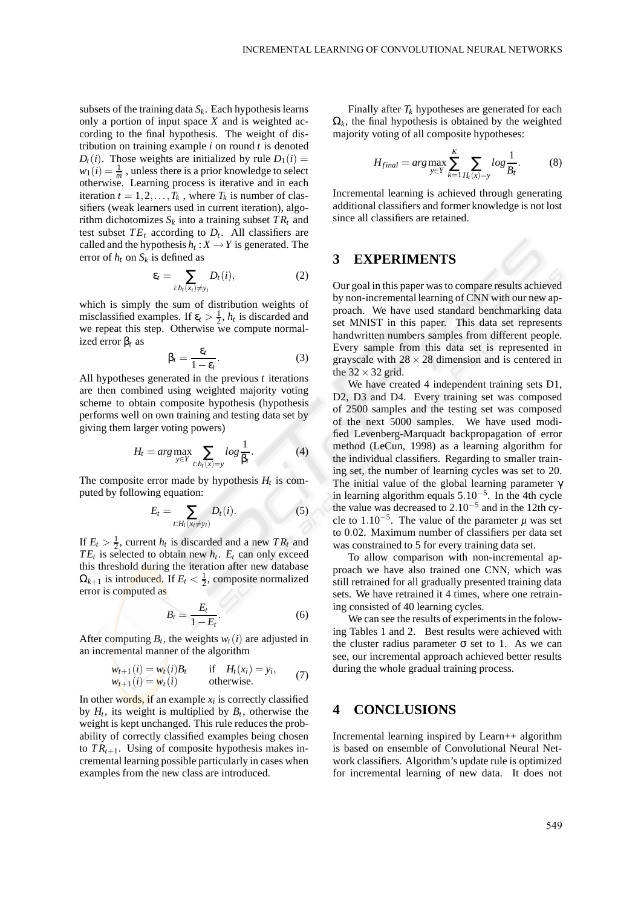subsets of the training data  $S_k$ . Each hypothesis learns only a portion of input space *X* and is weighted according to the final hypothesis. The weight of distribution on training example *i* on round *t* is denoted  $D_t(i)$ . Those weights are initialized by rule  $D_1(i)$  =  $w_1(i) = \frac{1}{m}$ , unless there is a prior knowledge to select otherwise. Learning process is iterative and in each iteration  $t = 1, 2, \ldots, T_k$ , where  $T_k$  is number of classifiers (weak learners used in current iteration), algorithm dichotomizes  $S_k$  into a training subset  $TR_t$  and test subset  $TE_t$  according to  $D_t$ . All classifiers are called and the hypothesis  $h_t: X \to Y$  is generated. The error of  $h_t$  on  $S_k$  is defined as

$$
\varepsilon_t = \sum_{i:h_t(x_i) \neq y_i} D_t(i), \tag{2}
$$

which is simply the sum of distribution weights of misclassified examples. If  $\varepsilon_t > \frac{1}{2}$ ,  $h_t$  is discarded and we repeat this step. Otherwise we compute normalized error β*<sup>t</sup>* as

$$
\beta_t = \frac{\varepsilon_t}{1 - \varepsilon_t}.\tag{3}
$$

All hypotheses generated in the previous *t* iterations are then combined using weighted majority voting scheme to obtain composite hypothesis (hypothesis performs well on own training and testing data set by giving them larger voting powers)

$$
H_t = arg \max_{y \in Y} \sum_{t: h_t(x) = y} log \frac{1}{\beta_t}.
$$
 (4)

The composite error made by hypothesis  $H_t$  is computed by following equation:

$$
E_t = \sum_{t:H_t(x_i \neq y_i)} D_t(i). \tag{5}
$$

If  $E_t > \frac{1}{2}$ , current  $h_t$  is discarded and a new  $TR_t$  and  $TE_t$  is selected to obtain new  $h_t$ .  $E_t$  can only exceed this threshold during the iteration after new database  $\Omega_{k+1}$  is introduced. If  $E_t < \frac{1}{2}$ , composite normalized error is computed as

$$
B_t = \frac{E_t}{1 - E_t}.\tag{6}
$$

After computing  $B_t$ , the weights  $w_t(i)$  are adjusted in an incremental manner of the algorithm

$$
w_{t+1}(i) = w_t(i)B_t \qquad \text{if} \quad H_t(x_i) = y_i,
$$
  
\n
$$
w_{t+1}(i) = w_t(i) \qquad \text{otherwise.}
$$
 (7)

In other words, if an example *x<sup>i</sup>* is correctly classified by  $H_t$ , its weight is multiplied by  $B_t$ , otherwise the weight is kept unchanged. This rule reduces the probability of correctly classified examples being chosen to  $TR_{t+1}$ . Using of composite hypothesis makes incremental learning possible particularly in cases when examples from the new class are introduced.

Finally after  $T_k$  hypotheses are generated for each  $\Omega_k$ , the final hypothesis is obtained by the weighted majority voting of all composite hypotheses:

$$
H_{final} = arg \max_{y \in Y} \sum_{k=1}^{K} \sum_{H_t(x) = y} log \frac{1}{B_t}.
$$
 (8)

Incremental learning is achieved through generating additional classifiers and former knowledge is not lost since all classifiers are retained.

### **3 EXPERIMENTS**

Our goal in this paper was to compare results achieved by non-incremental learning of CNN with our new approach. We have used standard benchmarking data set MNIST in this paper. This data set represents handwritten numbers samples from different people. Every sample from this data set is represented in grayscale with  $28 \times 28$  dimension and is centered in the  $32 \times 32$  grid.

We have created 4 independent training sets D1, D2, D3 and D4. Every training set was composed of 2500 samples and the testing set was composed of the next 5000 samples. We have used modified Levenberg-Marquadt backpropagation of error method (LeCun, 1998) as a learning algorithm for the individual classifiers. Regarding to smaller training set, the number of learning cycles was set to 20. The initial value of the global learning parameter γ in learning algorithm equals 5.10−<sup>5</sup> . In the 4th cycle the value was decreased to  $2.10^{-5}$  and in the 12th cycle to  $1.10^{-5}$ . The value of the parameter  $\mu$  was set to 0.02. Maximum number of classifiers per data set was constrained to 5 for every training data set.

To allow comparison with non-incremental approach we have also trained one CNN, which was still retrained for all gradually presented training data sets. We have retrained it 4 times, where one retraining consisted of 40 learning cycles.

We can see the results of experiments in the folowing Tables 1 and 2. Best results were achieved with the cluster radius parameter  $\sigma$  set to 1. As we can see, our incremental approach achieved better results during the whole gradual training process.

### **4 CONCLUSIONS**

Incremental learning inspired by Learn++ algorithm is based on ensemble of Convolutional Neural Network classifiers. Algorithm's update rule is optimized for incremental learning of new data. It does not